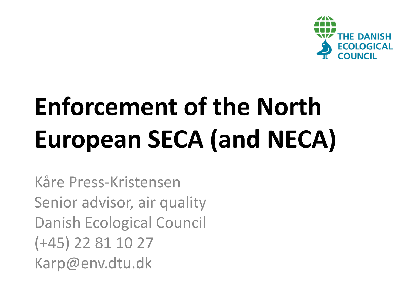

# **Enforcement of the North European SECA (and NECA)**

Kåre Press-Kristensen Senior advisor, air quality Danish Ecological Council (+45) 22 81 10 27 Karp@env.dtu.dk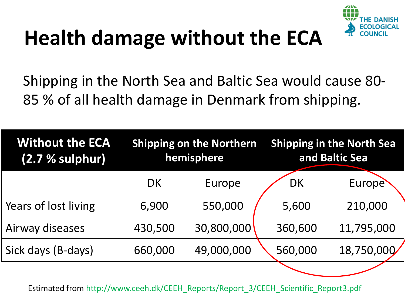

### **Health damage without the ECA**

Shipping in the North Sea and Baltic Sea would cause 80- 85 % of all health damage in Denmark from shipping.

| <b>Without the ECA</b><br>$(2.7 %$ sulphur) | <b>Shipping on the Northern</b><br>hemisphere |            | <b>Shipping in the North Sea</b><br>and Baltic Sea |                     |
|---------------------------------------------|-----------------------------------------------|------------|----------------------------------------------------|---------------------|
|                                             | DK                                            | Europe     | <b>DK</b>                                          | Europe <sup>®</sup> |
| Years of lost living                        | 6,900                                         | 550,000    | 5,600                                              | 210,000             |
| Airway diseases                             | 430,500                                       | 30,800,000 | 360,600                                            | 11,795,000          |
| Sick days (B-days)                          | 660,000                                       | 49,000,000 | 560,000                                            | 18,750,000          |
|                                             |                                               |            |                                                    |                     |

Estimated from http://www.ceeh.dk/CEEH\_Reports/Report\_3/CEEH\_Scientific\_Report3.pdf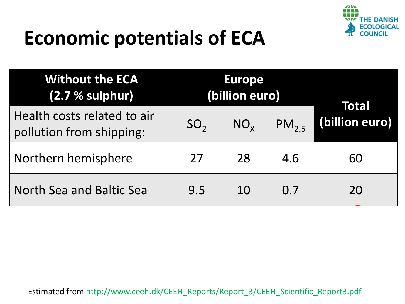

#### **Economic potentials of ECA**

| <b>Without the ECA</b><br>(2.7 % sulphur)               | <b>Europe</b><br>(billion euro) |              |                |                         |
|---------------------------------------------------------|---------------------------------|--------------|----------------|-------------------------|
| Health costs related to air<br>pollution from shipping: | SO <sub>2</sub>                 | $NO_{\rm y}$ | $PM_{25}$      | Total<br>(billion euro) |
| Northern hemisphere                                     | 27                              | 28           | 4.6            | 60                      |
| North Sea and Baltic Sea                                | 9.5                             | 10           | 0 <sub>l</sub> | 20                      |

Estimated from http://www.ceeh.dk/CEEH\_Reports/Report\_3/CEEH\_Scientific\_Report3.pdf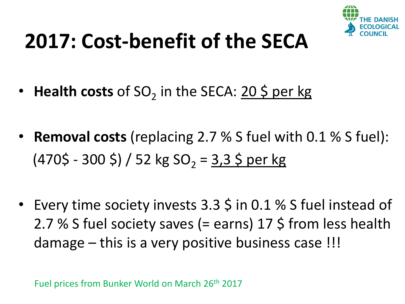

#### **2017: Cost-benefit of the SECA**

- Health costs of SO<sub>2</sub> in the SECA: 20 \$ per kg
- **Removal costs** (replacing 2.7 % S fuel with 0.1 % S fuel):  $(470\overline{\phantom{0}} - 300\overline{\phantom{0}}) / 52$  kg SO<sub>2</sub> = 3,3 \$ per kg
- Every time society invests 3.3 \$ in 0.1 % S fuel instead of 2.7 % S fuel society saves (= earns) 17 \$ from less health damage – this is a very positive business case !!!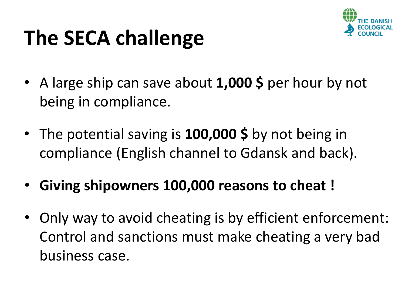#### **The SECA challenge**

- A large ship can save about **1,000 \$** per hour by not being in compliance.
- The potential saving is **100,000 \$** by not being in compliance (English channel to Gdansk and back).
- **Giving shipowners 100,000 reasons to cheat !**
- Only way to avoid cheating is by efficient enforcement: Control and sanctions must make cheating a very bad business case.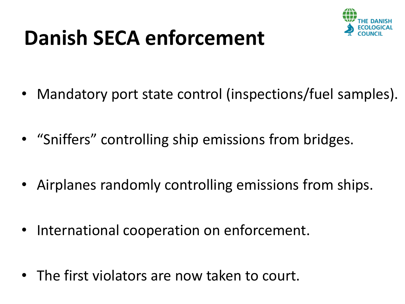#### **Danish SECA enforcement**



- Mandatory port state control (inspections/fuel samples).
- "Sniffers" controlling ship emissions from bridges.
- Airplanes randomly controlling emissions from ships.
- International cooperation on enforcement.
- The first violators are now taken to court.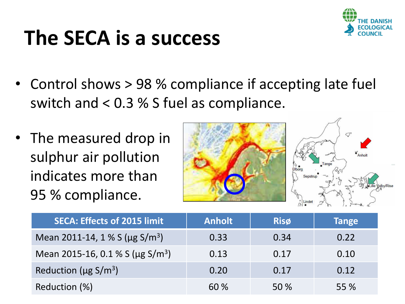#### **The SECA is a success**



- Control shows > 98 % compliance if accepting late fuel switch and < 0.3 % S fuel as compliance.
- The measured drop in sulphur air pollution indicates more than 95 % compliance.



| <b>SECA: Effects of 2015 limit</b>               | <b>Anholt</b> | <b>Risø</b> | <b>Tange</b> |
|--------------------------------------------------|---------------|-------------|--------------|
| Mean 2011-14, 1 % S ( $\mu$ g S/m <sup>3</sup> ) | 0.33          | 0.34        | 0.22         |
| Mean 2015-16, 0.1 % S (µg S/m <sup>3</sup> )     | 0.13          | 0.17        | 0.10         |
| Reduction ( $\mu$ g S/m <sup>3</sup> )           | 0.20          | 0.17        | 0.12         |
| Reduction (%)                                    | 60 %          | 50 %        | 55 %         |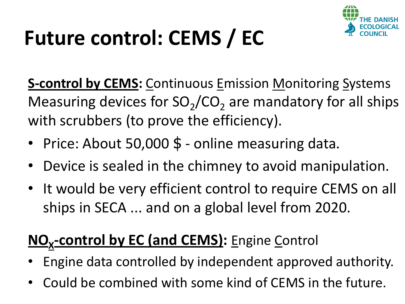

## **Future control: CEMS / EC**

**S-control by CEMS:** Continuous Emission Monitoring Systems Measuring devices for  $SO_2/CO_2$  are mandatory for all ships with scrubbers (to prove the efficiency).

- Price: About 50,000 \$ online measuring data.
- Device is sealed in the chimney to avoid manipulation.
- It would be very efficient control to require CEMS on all ships in SECA ... and on a global level from 2020.

#### **NO<sup>X</sup> -control by EC (and CEMS):** Engine Control

- Engine data controlled by independent approved authority.
- Could be combined with some kind of CEMS in the future.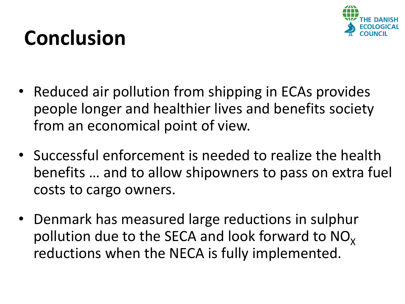

#### **Conclusion**

- Reduced air pollution from shipping in ECAs provides people longer and healthier lives and benefits society from an economical point of view.
- Successful enforcement is needed to realize the health benefits ... and to allow shipowners to pass on extra fuel costs to cargo owners.
- Denmark has measured large reductions in sulphur pollution due to the SECA and look forward to  $NO<sub>x</sub>$ reductions when the NECA is fully implemented.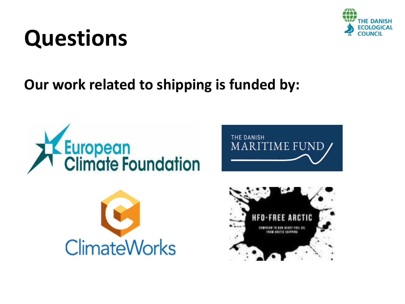#### **Questions**

#### **Our work related to shipping is funded by:**









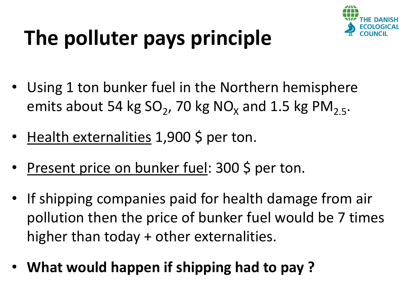

## **The polluter pays principle**

- Using 1 ton bunker fuel in the Northern hemisphere emits about 54 kg  $SO_2$ , 70 kg NO<sub>x</sub> and 1.5 kg PM<sub>2.5</sub>.
- Health externalities 1,900 \$ per ton.
- Present price on bunker fuel: 300 \$ per ton.
- If shipping companies paid for health damage from air pollution then the price of bunker fuel would be 7 times higher than today + other externalities.
- **What would happen if shipping had to pay ?**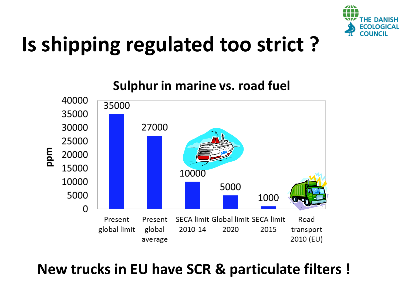

#### **Is shipping regulated too strict ?**



#### **New trucks in EU have SCR & particulate filters !**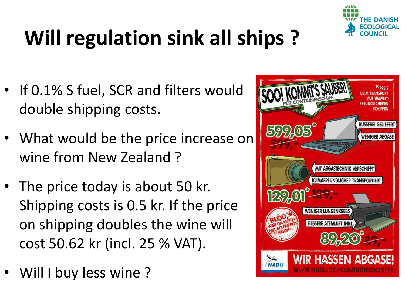

## **Will regulation sink all ships ?**

- If 0.1% S fuel, SCR and filters would double shipping costs.
- What would be the price increase on wine from New Zealand ?
- The price today is about 50 kr. Shipping costs is 0.5 kr. If the price on shipping doubles the wine will cost 50.62 kr (incl. 25 % VAT).
- Will I buy less wine?

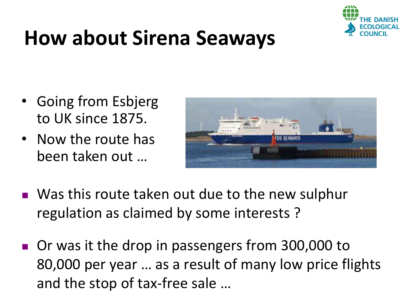

#### **How about Sirena Seaways**

- Going from Esbjerg to UK since 1875.
- Now the route has been taken out ...



- Was this route taken out due to the new sulphur regulation as claimed by some interests ?
- Or was it the drop in passengers from 300,000 to 80,000 per year ... as a result of many low price flights and the stop of tax-free sale …